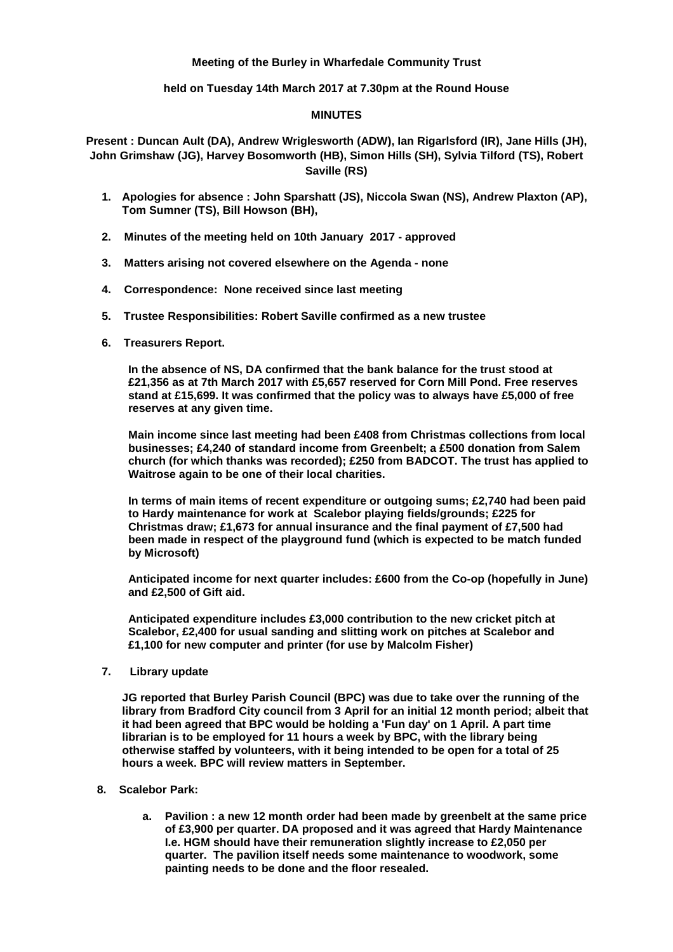# **Meeting of the Burley in Wharfedale Community Trust**

## **held on Tuesday 14th March 2017 at 7.30pm at the Round House**

## **MINUTES**

**Present : Duncan Ault (DA), Andrew Wriglesworth (ADW), Ian Rigarlsford (IR), Jane Hills (JH), John Grimshaw (JG), Harvey Bosomworth (HB), Simon Hills (SH), Sylvia Tilford (TS), Robert Saville (RS)**

- **1. Apologies for absence : John Sparshatt (JS), Niccola Swan (NS), Andrew Plaxton (AP), Tom Sumner (TS), Bill Howson (BH),**
- **2. Minutes of the meeting held on 10th January 2017 - approved**
- **3. Matters arising not covered elsewhere on the Agenda - none**
- **4. Correspondence: None received since last meeting**
- **5. Trustee Responsibilities: Robert Saville confirmed as a new trustee**
- **6. Treasurers Report.**

**In the absence of NS, DA confirmed that the bank balance for the trust stood at £21,356 as at 7th March 2017 with £5,657 reserved for Corn Mill Pond. Free reserves stand at £15,699. It was confirmed that the policy was to always have £5,000 of free reserves at any given time.**

**Main income since last meeting had been £408 from Christmas collections from local businesses; £4,240 of standard income from Greenbelt; a £500 donation from Salem church (for which thanks was recorded); £250 from BADCOT. The trust has applied to Waitrose again to be one of their local charities.**

**In terms of main items of recent expenditure or outgoing sums; £2,740 had been paid to Hardy maintenance for work at Scalebor playing fields/grounds; £225 for Christmas draw; £1,673 for annual insurance and the final payment of £7,500 had been made in respect of the playground fund (which is expected to be match funded by Microsoft)**

**Anticipated income for next quarter includes: £600 from the Co-op (hopefully in June) and £2,500 of Gift aid.**

**Anticipated expenditure includes £3,000 contribution to the new cricket pitch at Scalebor, £2,400 for usual sanding and slitting work on pitches at Scalebor and £1,100 for new computer and printer (for use by Malcolm Fisher)**

**7. Library update**

**JG reported that Burley Parish Council (BPC) was due to take over the running of the library from Bradford City council from 3 April for an initial 12 month period; albeit that it had been agreed that BPC would be holding a 'Fun day' on 1 April. A part time librarian is to be employed for 11 hours a week by BPC, with the library being otherwise staffed by volunteers, with it being intended to be open for a total of 25 hours a week. BPC will review matters in September.**

- **8. Scalebor Park:**
	- **a. Pavilion : a new 12 month order had been made by greenbelt at the same price of £3,900 per quarter. DA proposed and it was agreed that Hardy Maintenance I.e. HGM should have their remuneration slightly increase to £2,050 per quarter. The pavilion itself needs some maintenance to woodwork, some painting needs to be done and the floor resealed.**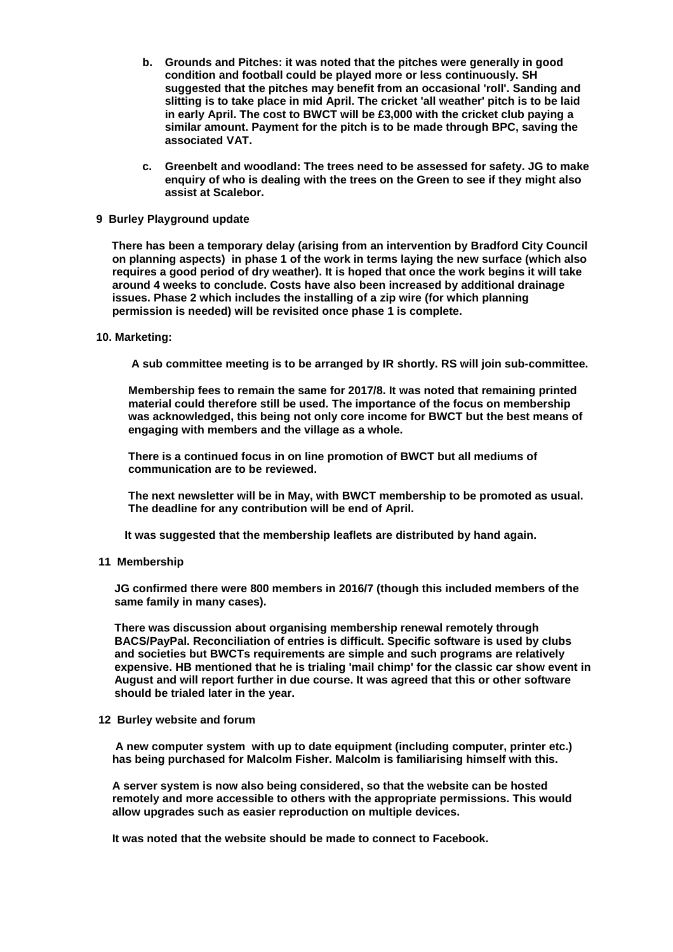- **b. Grounds and Pitches: it was noted that the pitches were generally in good condition and football could be played more or less continuously. SH suggested that the pitches may benefit from an occasional 'roll'. Sanding and slitting is to take place in mid April. The cricket 'all weather' pitch is to be laid in early April. The cost to BWCT will be £3,000 with the cricket club paying a similar amount. Payment for the pitch is to be made through BPC, saving the associated VAT.**
- **c. Greenbelt and woodland: The trees need to be assessed for safety. JG to make enquiry of who is dealing with the trees on the Green to see if they might also assist at Scalebor.**
- **9 Burley Playground update**

 **There has been a temporary delay (arising from an intervention by Bradford City Council on planning aspects) in phase 1 of the work in terms laying the new surface (which also requires a good period of dry weather). It is hoped that once the work begins it will take around 4 weeks to conclude. Costs have also been increased by additional drainage issues. Phase 2 which includes the installing of a zip wire (for which planning permission is needed) will be revisited once phase 1 is complete.**

### **10. Marketing:**

 **A sub committee meeting is to be arranged by IR shortly. RS will join sub-committee.**

 **Membership fees to remain the same for 2017/8. It was noted that remaining printed material could therefore still be used. The importance of the focus on membership was acknowledged, this being not only core income for BWCT but the best means of engaging with members and the village as a whole.**

**There is a continued focus in on line promotion of BWCT but all mediums of communication are to be reviewed.**

**The next newsletter will be in May, with BWCT membership to be promoted as usual. The deadline for any contribution will be end of April.**

 **It was suggested that the membership leaflets are distributed by hand again.**

**11 Membership**

**JG confirmed there were 800 members in 2016/7 (though this included members of the same family in many cases).**

**There was discussion about organising membership renewal remotely through BACS/PayPal. Reconciliation of entries is difficult. Specific software is used by clubs and societies but BWCTs requirements are simple and such programs are relatively expensive. HB mentioned that he is trialing 'mail chimp' for the classic car show event in August and will report further in due course. It was agreed that this or other software should be trialed later in the year.**

#### **12 Burley website and forum**

**A new computer system with up to date equipment (including computer, printer etc.) has being purchased for Malcolm Fisher. Malcolm is familiarising himself with this.**

**A server system is now also being considered, so that the website can be hosted remotely and more accessible to others with the appropriate permissions. This would allow upgrades such as easier reproduction on multiple devices.**

**It was noted that the website should be made to connect to Facebook.**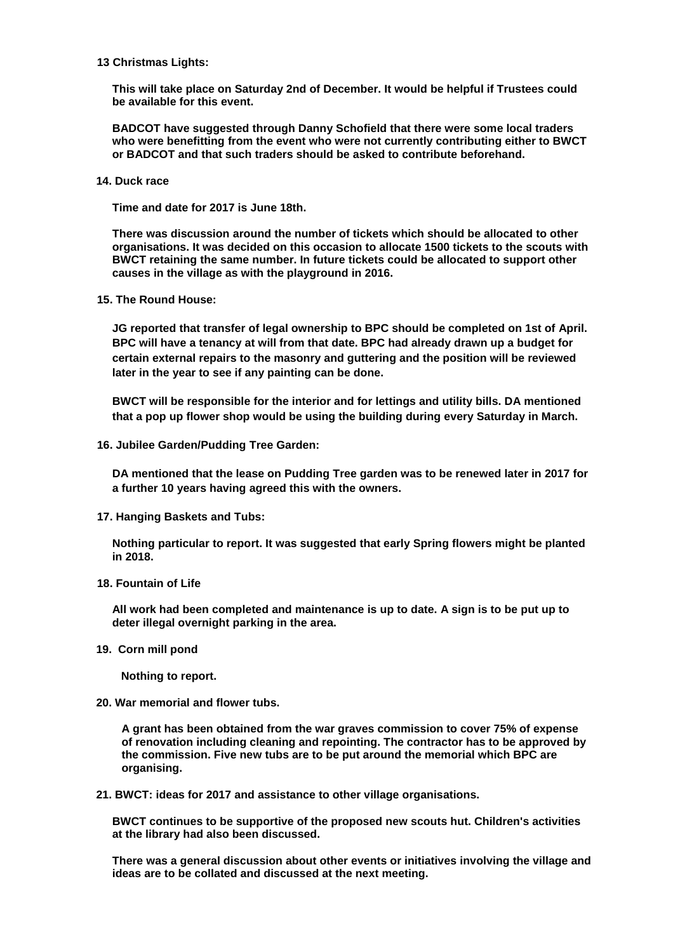### **13 Christmas Lights:**

**This will take place on Saturday 2nd of December. It would be helpful if Trustees could be available for this event.**

**BADCOT have suggested through Danny Schofield that there were some local traders who were benefitting from the event who were not currently contributing either to BWCT or BADCOT and that such traders should be asked to contribute beforehand.**

**14. Duck race**

**Time and date for 2017 is June 18th.**

**There was discussion around the number of tickets which should be allocated to other organisations. It was decided on this occasion to allocate 1500 tickets to the scouts with BWCT retaining the same number. In future tickets could be allocated to support other causes in the village as with the playground in 2016.**

 **15. The Round House:**

**JG reported that transfer of legal ownership to BPC should be completed on 1st of April. BPC will have a tenancy at will from that date. BPC had already drawn up a budget for certain external repairs to the masonry and guttering and the position will be reviewed later in the year to see if any painting can be done.**

**BWCT will be responsible for the interior and for lettings and utility bills. DA mentioned that a pop up flower shop would be using the building during every Saturday in March.**

 **16. Jubilee Garden/Pudding Tree Garden:** 

**DA mentioned that the lease on Pudding Tree garden was to be renewed later in 2017 for a further 10 years having agreed this with the owners.**

 **17. Hanging Baskets and Tubs:**

**Nothing particular to report. It was suggested that early Spring flowers might be planted in 2018.**

 **18. Fountain of Life**

**All work had been completed and maintenance is up to date. A sign is to be put up to deter illegal overnight parking in the area.**

**19. Corn mill pond**

 **Nothing to report.**

**20. War memorial and flower tubs.**

**A grant has been obtained from the war graves commission to cover 75% of expense of renovation including cleaning and repointing. The contractor has to be approved by the commission. Five new tubs are to be put around the memorial which BPC are organising.**

**21. BWCT: ideas for 2017 and assistance to other village organisations.**

**BWCT continues to be supportive of the proposed new scouts hut. Children's activities at the library had also been discussed.**

**There was a general discussion about other events or initiatives involving the village and ideas are to be collated and discussed at the next meeting.**